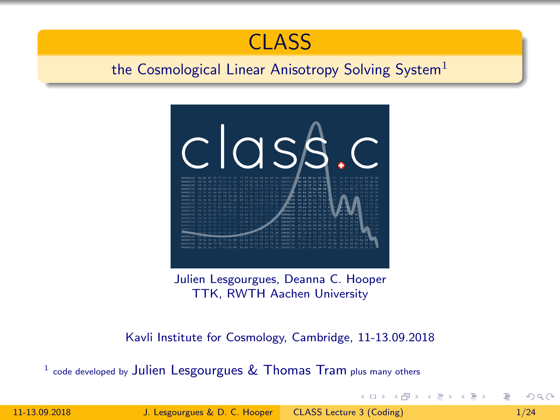

# <span id="page-0-0"></span>the Cosmological Linear Anisotropy Solving System<sup>1</sup>



Julien Lesgourgues, Deanna C. Hooper TTK, RWTH Aachen University

Kavli Institute for Cosmology, Cambridge, 11-13.09.2018

code developed by Julien Lesgourgues & Thomas Tram plus many others

11-13.09.2018 J. Lesgourgues & D. C. Hooper [CLASS Lecture 3 \(Coding\) 1/24](#page-47-0)

 $QQ$ 

イロン イ押ン イヨン イヨン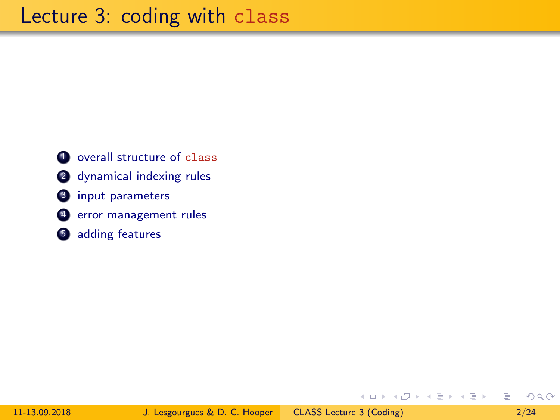overall structure of class 2 dynamical indexing rules input parameters error management rules adding features

э

 $OQ$ 

→ イ母 ト イヨ ト イヨ ト

 $\leftarrow$   $\Box$   $\rightarrow$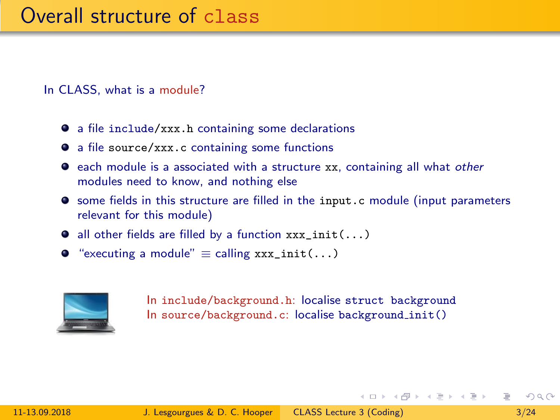In CLASS, what is a module?

- a file include/xxx.h containing some declarations
- a file source/xxx.c containing some functions
- **E** each module is a associated with a structure xx, containing all what other modules need to know, and nothing else
- some fields in this structure are filled in the input.c module (input parameters relevant for this module)
- $\bullet$  all other fields are filled by a function  $xxx\_init(...)$
- $\bullet$  "executing a module"  $\equiv$  calling xxx\_init(...)



In include/background.h: localise struct background In source/background.c: localise background init()

 $\Omega$ 

イロン イ押ン イヨン イヨン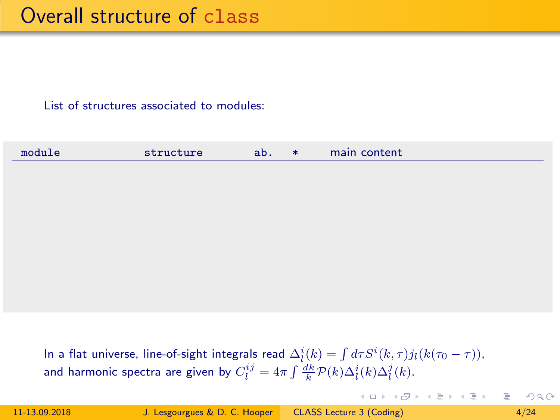|--|

In a flat universe, line-of-sight integrals read  $\Delta^i_l(k) = \int d\tau S^i(k,\tau) j_l(k(\tau_0-\tau))$ , and harmonic spectra are given by  $C_l^{ij} = 4\pi \int \frac{dk}{k} \mathcal{P}(k) \Delta_l^i(k) \Delta_l^j(k)$ .

 $QQ$ 

イロン イ押ン イヨン イヨン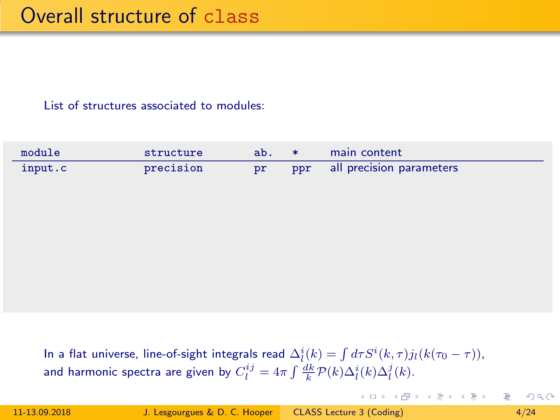| module  | structure | ab. | ∗ | main content                 |
|---------|-----------|-----|---|------------------------------|
| input.c | precision |     |   | ppr all precision parameters |

In a flat universe, line-of-sight integrals read  $\Delta^i_l(k) = \int d\tau S^i(k,\tau) j_l(k(\tau_0-\tau))$ , and harmonic spectra are given by  $C_l^{ij} = 4\pi \int \frac{dk}{k} \mathcal{P}(k) \Delta_l^i(k) \Delta_l^j(k)$ .

 $QQ$ 

イロト イ押 トイラト イラトー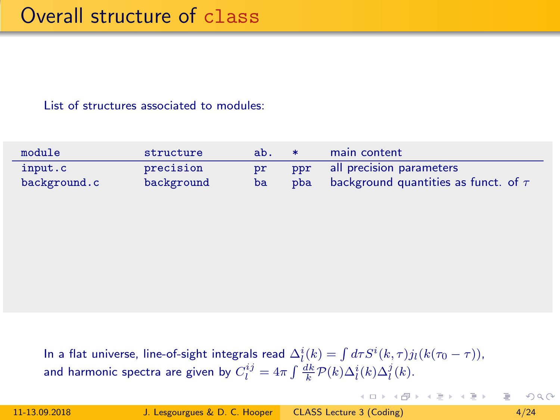| module       | structure  | ab. | - ≭ | main content                               |
|--------------|------------|-----|-----|--------------------------------------------|
| input.c      | precision  | pr  |     | ppr all precision parameters               |
| background.c | background | ba  | pba | background quantities as funct. of $\tau/$ |

In a flat universe, line-of-sight integrals read  $\Delta^i_l(k) = \int d\tau S^i(k,\tau) j_l(k(\tau_0-\tau))$ , and harmonic spectra are given by  $C_l^{ij} = 4\pi \int \frac{dk}{k} \mathcal{P}(k) \Delta_l^i(k) \Delta_l^j(k)$ .

 $OQ$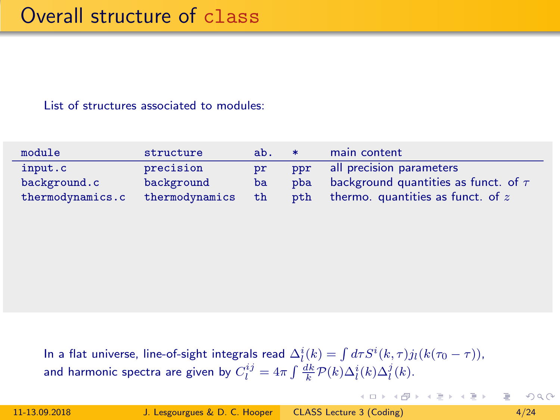| module           | structure      | ab. | $\ast$ | main content                              |
|------------------|----------------|-----|--------|-------------------------------------------|
| input.c          | precision      | pr  | ppr    | all precision parameters                  |
| background.c     | background     | ba  | pba    | background quantities as funct. of $\tau$ |
| thermodynamics.c | thermodynamics | th  | pth    | thermo. quantities as funct. of $z$       |

In a flat universe, line-of-sight integrals read  $\Delta^i_l(k) = \int d\tau S^i(k,\tau) j_l(k(\tau_0-\tau))$ , and harmonic spectra are given by  $C_l^{ij} = 4\pi \int \frac{dk}{k} \mathcal{P}(k) \Delta_l^i(k) \Delta_l^j(k)$ .

 $OQ$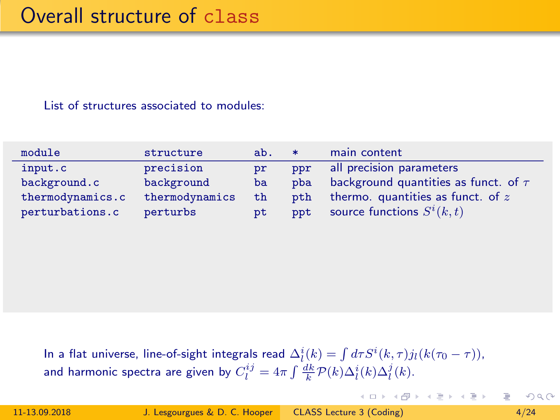| module           | structure      | ab. | $\ast$ | main content                              |
|------------------|----------------|-----|--------|-------------------------------------------|
| input.c          | precision      | pr  | ppr    | all precision parameters                  |
| background.c     | background     | ba  | pba    | background quantities as funct. of $\tau$ |
| thermodynamics.c | thermodynamics | th  | pth    | thermo. quantities as funct. of $z$       |
| perturbations.c  | perturbs       | pt  | ppt    | source functions $S^i(k,t)$               |

In a flat universe, line-of-sight integrals read  $\Delta^i_l(k) = \int d\tau S^i(k,\tau) j_l(k(\tau_0-\tau))$ , and harmonic spectra are given by  $C_l^{ij} = 4\pi \int \frac{dk}{k} \mathcal{P}(k) \Delta_l^i(k) \Delta_l^j(k)$ .

 $OQ$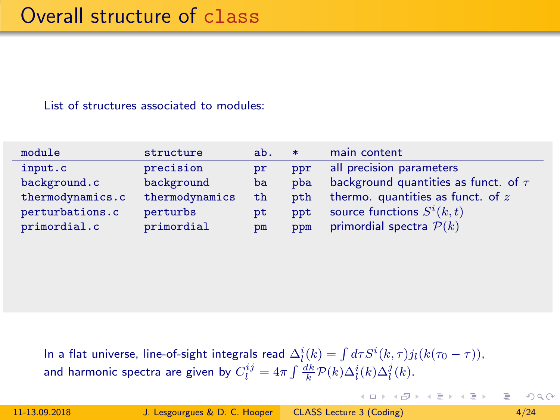| module           | structure      | ab. | $\ast$ | main content                              |
|------------------|----------------|-----|--------|-------------------------------------------|
| input.c          | precision      | pr  | ppr    | all precision parameters                  |
| background.c     | background     | ba  | pba    | background quantities as funct. of $\tau$ |
| thermodynamics.c | thermodynamics | th  | pth    | thermo. quantities as funct. of $z$       |
| perturbations.c  | perturbs       | pt  | ppt    | source functions $S^i(k,t)$               |
| primordial.c     | primordial     | pm  | ppm    | primordial spectra $\mathcal{P}(k)$       |

In a flat universe, line-of-sight integrals read  $\Delta^i_l(k) = \int d\tau S^i(k,\tau) j_l(k(\tau_0-\tau))$ , and harmonic spectra are given by  $C_l^{ij} = 4\pi \int \frac{dk}{k} \mathcal{P}(k) \Delta_l^i(k) \Delta_l^j(k)$ .

 $OQ$ 

イロト イ押 トイラト イラトー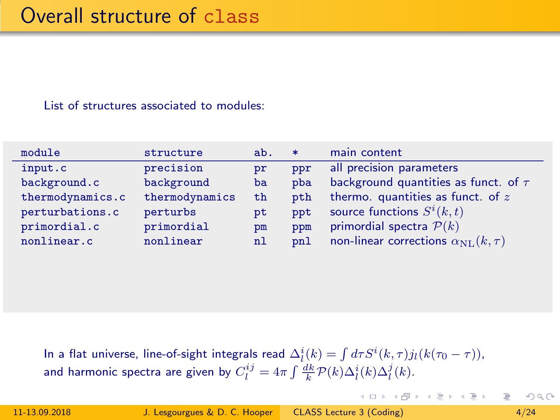| module           | structure      | ab. | $\ast$ | main content                                      |
|------------------|----------------|-----|--------|---------------------------------------------------|
| input.c          | precision      | pr  | ppr    | all precision parameters                          |
| background.c     | background     | ba  | pba    | background quantities as funct. of $\tau$         |
| thermodynamics.c | thermodynamics | th  | pth    | thermo. quantities as funct. of $z$               |
| perturbations.c  | perturbs       | pt  | ppt    | source functions $S^i(k,t)$                       |
| primordial.c     | primordial     | pm  | ppm    | primordial spectra $P(k)$                         |
| nonlinear.c      | nonlinear      | n1  | pnl    | non-linear corrections $\alpha_{\rm NL}(k, \tau)$ |

In a flat universe, line-of-sight integrals read  $\Delta^i_l(k) = \int d\tau S^i(k,\tau) j_l(k(\tau_0-\tau))$ , and harmonic spectra are given by  $C_l^{ij} = 4\pi \int \frac{dk}{k} \mathcal{P}(k) \Delta_l^i(k) \Delta_l^j(k)$ .

 $OQ$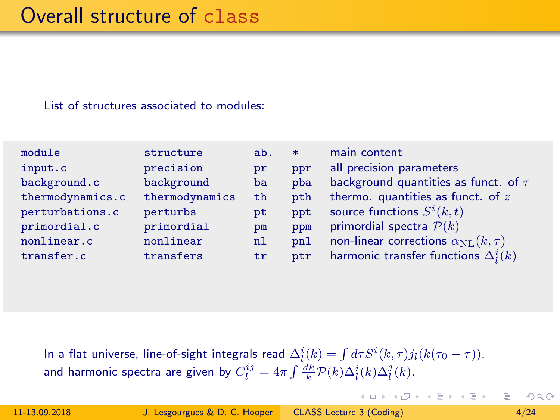| module           | structure      | ab. | $\ast$ | main content                                     |
|------------------|----------------|-----|--------|--------------------------------------------------|
| input.c          | precision      | pr  | ppr    | all precision parameters                         |
| background.c     | background     | ba  | pba    | background quantities as funct. of $\tau$        |
| thermodynamics.c | thermodynamics | th  | pth    | thermo. quantities as funct. of $z$              |
| perturbations.c  | perturbs       | pt  | ppt    | source functions $S^i(k,t)$                      |
| primordial.c     | primordial     | pm  | ppm    | primordial spectra $P(k)$                        |
| nonlinear.c      | nonlinear      | n1  | pnl    | non-linear corrections $\alpha_{\rm NL}(k,\tau)$ |
| transfer.c       | transfers      | tr  | ptr    | harmonic transfer functions $\Delta_i^i(k)$      |

In a flat universe, line-of-sight integrals read  $\Delta^i_l(k) = \int d\tau S^i(k,\tau) j_l(k(\tau_0-\tau))$ , and harmonic spectra are given by  $C_l^{ij} = 4\pi \int \frac{dk}{k} \mathcal{P}(k) \Delta_l^i(k) \Delta_l^j(k)$ .

 $QQ$ 

イロト イ押 トイラト イラトー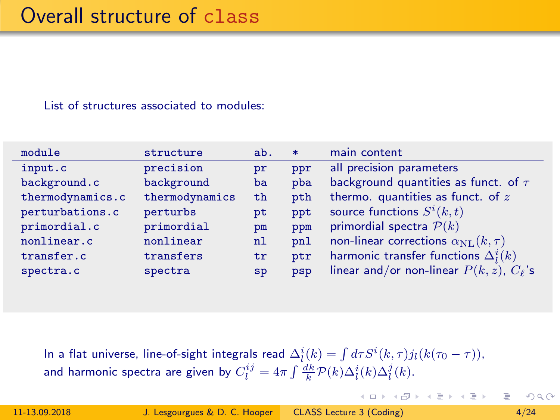| module           | structure      | ab. | $\ast$ | main content                                       |
|------------------|----------------|-----|--------|----------------------------------------------------|
| input.c          | precision      | pr  | ppr    | all precision parameters                           |
| background.c     | background     | ba  | pba    | background quantities as funct. of $\tau$          |
| thermodynamics.c | thermodynamics | th  | pth    | thermo. quantities as funct. of $z$                |
| perturbations.c  | perturbs       | pt  | ppt    | source functions $S^i(k,t)$                        |
| primordial.c     | primordial     | pm  | ppm    | primordial spectra $P(k)$                          |
| nonlinear.c      | nonlinear      | n1  | pnl    | non-linear corrections $\alpha_{\rm NL}(k,\tau)$   |
| transfer.c       | transfers      | tr  | ptr    | harmonic transfer functions $\Delta_l^i(k)$        |
| spectra.c        | spectra        | SD  | psp    | linear and/or non-linear $P(k, z)$ , $C_{\ell}$ 's |

In a flat universe, line-of-sight integrals read  $\Delta^i_l(k) = \int d\tau S^i(k,\tau) j_l(k(\tau_0-\tau))$ , and harmonic spectra are given by  $C_l^{ij} = 4\pi \int \frac{dk}{k} \mathcal{P}(k) \Delta_l^i(k) \Delta_l^j(k)$ .

 $OQ$ 

イロト イ押 トイラト イラトー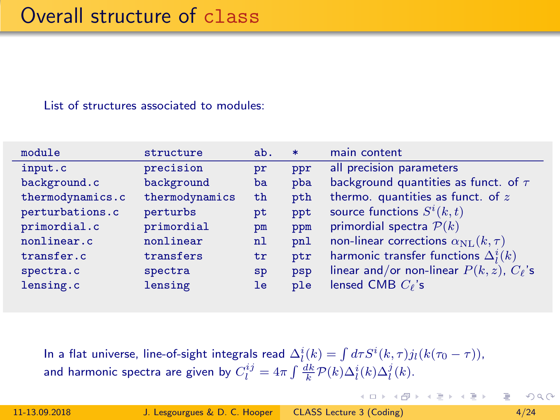| module           | structure      | ab. | $\ast$ | main content                                       |
|------------------|----------------|-----|--------|----------------------------------------------------|
| input.c          | precision      | pr  | ppr    | all precision parameters                           |
| background.c     | background     | ba  | pba    | background quantities as funct. of $\tau$          |
| thermodynamics.c | thermodynamics | th  | pth    | thermo. quantities as funct. of $z$                |
| perturbations.c  | perturbs       | pt  | ppt    | source functions $S^i(k,t)$                        |
| primordial.c     | primordial     | pm  | ppm    | primordial spectra $P(k)$                          |
| nonlinear.c      | nonlinear      | n1  | pnl    | non-linear corrections $\alpha_{\rm NL}(k,\tau)$   |
| transfer.c       | transfers      | tr  | ptr    | harmonic transfer functions $\Delta_l^i(k)$        |
| spectra.c        | spectra        | sp  | psp    | linear and/or non-linear $P(k, z)$ , $C_{\ell}$ 's |
| lensing.c        | lensing        | le  | ple    | lensed CMB $C_{\ell}$ 's                           |

In a flat universe, line-of-sight integrals read  $\Delta^i_l(k) = \int d\tau S^i(k,\tau) j_l(k(\tau_0-\tau))$ , and harmonic spectra are given by  $C_l^{ij} = 4\pi \int \frac{dk}{k} \mathcal{P}(k) \Delta_l^i(k) \Delta_l^j(k)$ .

 $QQ$ 

イロト イ押ト イヨト イヨト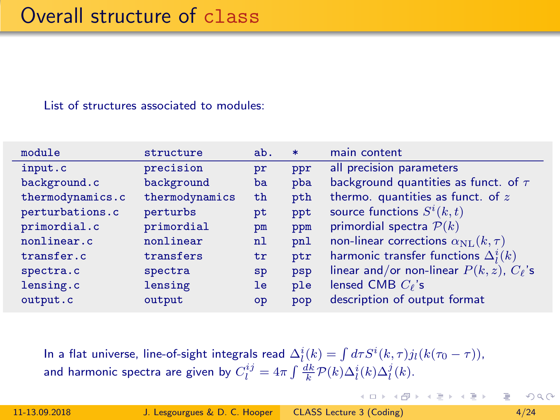| module           | structure      | ab. | $\ast$ | main content                                       |
|------------------|----------------|-----|--------|----------------------------------------------------|
| input.c          | precision      | pr  | ppr    | all precision parameters                           |
| background.c     | background     | ba  | pba    | background quantities as funct. of $\tau$          |
| thermodynamics.c | thermodynamics | th  | pth    | thermo. quantities as funct. of $z$                |
| perturbations.c  | perturbs       | pt  | ppt    | source functions $S^i(k,t)$                        |
| primordial.c     | primordial     | pm  | ppm    | primordial spectra $P(k)$                          |
| nonlinear.c      | nonlinear      | n1  | pnl    | non-linear corrections $\alpha_{\rm NL}(k,\tau)$   |
| transfer.c       | transfers      | tr  | ptr    | harmonic transfer functions $\Delta_i^i(k)$        |
| spectra.c        | spectra        | sp  | psp    | linear and/or non-linear $P(k, z)$ , $C_{\ell}$ 's |
| lensing.c        | lensing        | le  | ple    | lensed CMB $C_{\ell}$ 's                           |
| output.c         | output         | op  | pop    | description of output format                       |

In a flat universe, line-of-sight integrals read  $\Delta^i_l(k) = \int d\tau S^i(k,\tau) j_l(k(\tau_0-\tau))$ , and harmonic spectra are given by  $C_l^{ij} = 4\pi \int \frac{dk}{k} \mathcal{P}(k) \Delta_l^i(k) \Delta_l^j(k)$ .

 $QQ$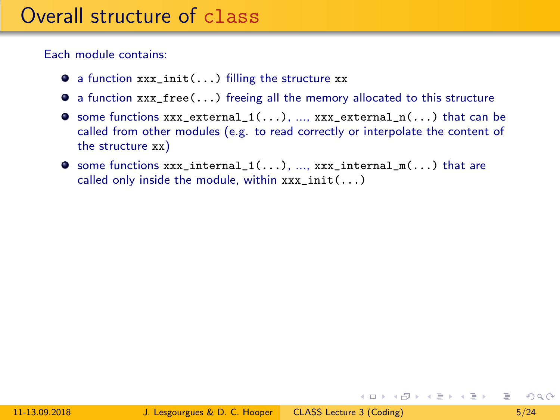Each module contains:

- $\bullet$  a function xxx init(...) filling the structure xx
- $\bullet$  a function  $xxx\_free(...)$  freeing all the memory allocated to this structure
- $\bullet$  some functions xxx\_external\_1(...), ..., xxx\_external\_n(...) that can be called from other modules (e.g. to read correctly or interpolate the content of the structure xx)
- $\bullet$  some functions  $xxx\_internal_1(\ldots), ..., xx\_internal_m(\ldots)$  that are called only inside the module, within  $xxx\_init(...)$

 $OQ$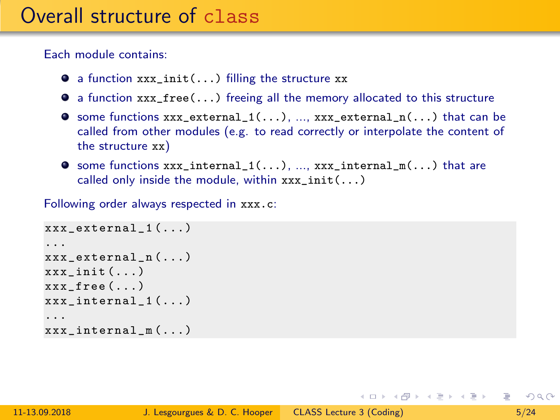<span id="page-15-0"></span>Each module contains:

- $\bullet$  a function xxx init(...) filling the structure xx
- $\bullet$  a function xxx free(...) freeing all the memory allocated to this structure
- $\bullet$  some functions xxx\_external\_1(...), ..., xxx\_external\_n(...) that can be called from other modules (e.g. to read correctly or interpolate the content of the structure xx)
- $\bullet$  some functions  $xxx\_internal_1(\ldots), ..., xx\_internal_m(\ldots)$  that are called only inside the module, within  $xxx \; init( \ldots)$

Following order always respected in xxx.c:

```
xxx external 1 (...)
...
xxx external n (...)
xxx_init (...)
xxx_free ( \ldots )xxx_internal_1 (...)
...
xxx internal m (...)
```
 $OQ$ GH.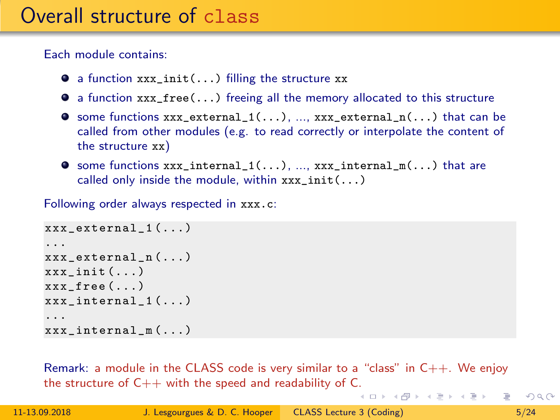Each module contains:

- $\bullet$  a function xxx init(...) filling the structure xx
- $\bullet$  a function  $xxx\_free(...)$  freeing all the memory allocated to this structure
- $\bullet$  some functions xxx\_external\_1(...), ..., xxx\_external\_n(...) that can be called from other modules (e.g. to read correctly or interpolate the content of the structure xx)
- $\bullet$  some functions  $xxx\_internal_1(\ldots), ..., xx\_internal_m(\ldots)$  that are called only inside the module, within  $xxx \; init( \ldots)$

Following order always respected in xxx.c:

```
xxx_external_1 (...)
...
xxx external n (...)
xxx_init (...)
xxx_free ( \ldots )xxx_internal_1 (...)
...
xxx internal m (...)
```
Remark: a module in the CLASS code is very similar to a "class" in  $C_{++}$ . We enjoy the structure of  $C++$  with the speed and readability of [C.](#page-15-0)

 $OQ$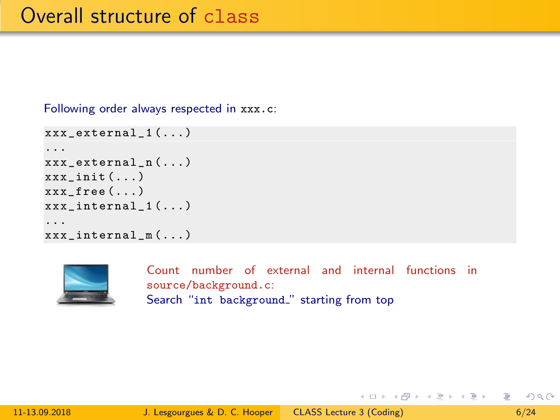Following order always respected in xxx.c:

```
xxx external 1 (...)
...
xxx external n (...)
xxx init ( \ldots )xxx_free (...)
xxx_internal_1 (...)
...
xxx_internal_m (...)
```


Count number of external and internal functions in source/background.c: Search "int background." starting from top

 $OQ$ 

イロン イ何 メ イヨン イヨン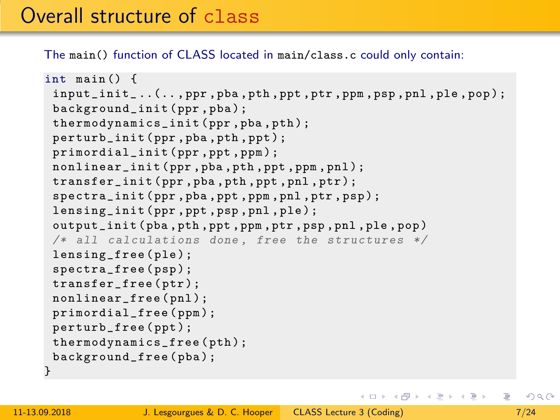The main() function of CLASS located in main/class.c could only contain:

```
int main () {
 input_init_ ..(.. , ppr , pba , pth , ppt , ptr , ppm , psp , pnl , ple , pop );
 background_init ( ppr , pba );
 thermodynamics_init ( ppr , pba , pth );
 perturb_init ( ppr , pba , pth , ppt );
 primordial_init ( ppr , ppt , ppm ) ;
 nonlinear_init ( ppr , pba , pth , ppt , ppm , pnl );
 transfer_init ( ppr , pba , pth , ppt , pnl , ptr ) ;
 spectra_init ( ppr , pba , ppt , ppm , pnl , ptr , psp );
 lensing_init ( ppr , ppt , psp , pnl , ple );
 output_init ( pba , pth , ppt , ppm , ptr , psp , pnl , ple , pop )
 /* all calculations done, free the structures */lensing_free(ple);
 spectra_free ( psp ) ;
 transfer_free ( ptr );
 nonlinear_free (pnl);
 primordial_free ( ppm );
 perturb_free ( ppt ) ;
 thermodynamics_free ( pth );
 background_free ( pba );
}
```
 $OQ$ 

イロト イ押 トイラト イラトー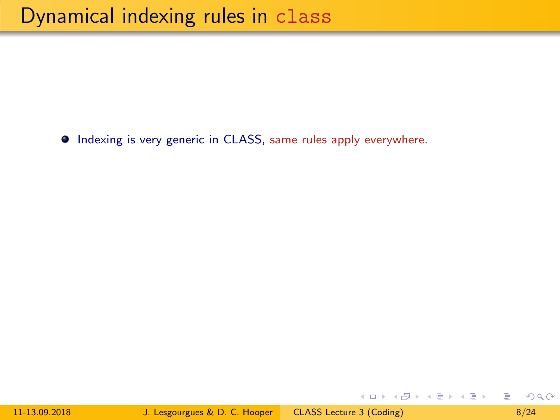$\bullet$  Indexing is very generic in CLASS, same rules apply everywhere.

 $2Q$ 

イロン イ押ン イヨン イヨン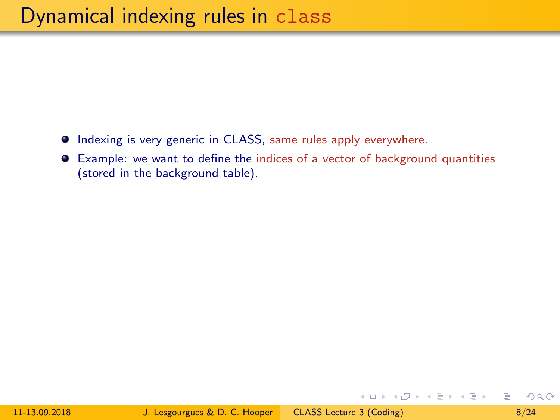- $\bullet$  Indexing is very generic in CLASS, same rules apply everywhere.
- Example: we want to define the indices of a vector of background quantities (stored in the background table).

 $OQ$ 

イロン イ押ン イヨン イヨン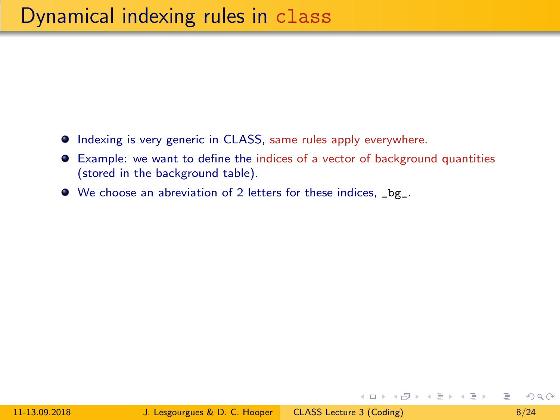- $\bullet$  Indexing is very generic in CLASS, same rules apply everywhere.
- Example: we want to define the indices of a vector of background quantities (stored in the background table).
- We choose an abreviation of 2 letters for these indices, \_bg\_.

メロメ メ母メ メミメ メミメ

 $QQ$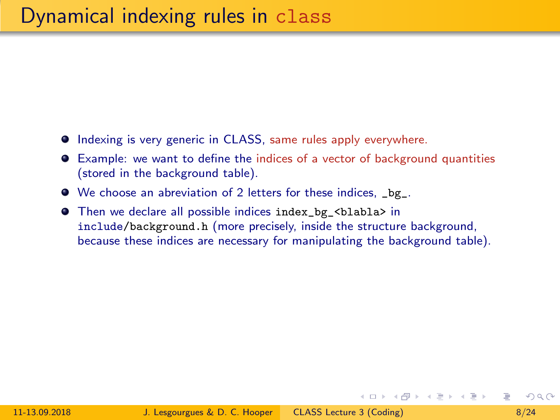- **Indexing is very generic in CLASS, same rules apply everywhere.**
- Example: we want to define the indices of a vector of background quantities (stored in the background table).
- We choose an abreviation of 2 letters for these indices, \_bg\_.
- Then we declare all possible indices index\_bg\_<blabla> in include/background.h (more precisely, inside the structure background, because these indices are necessary for manipulating the background table).

 $\Omega$ 

イロン イ押ン イヨン イヨン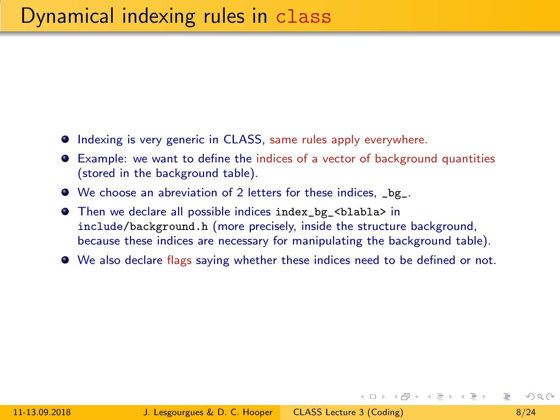- **Indexing is very generic in CLASS, same rules apply everywhere.**
- Example: we want to define the indices of a vector of background quantities (stored in the background table).
- We choose an abreviation of 2 letters for these indices, \_bg\_.
- Then we declare all possible indices index\_bg\_<blabla> in include/background.h (more precisely, inside the structure background, because these indices are necessary for manipulating the background table).
- We also declare flags saying whether these indices need to be defined or not.

 $\Omega$ 

メロメ メ母メ メミメ メミメ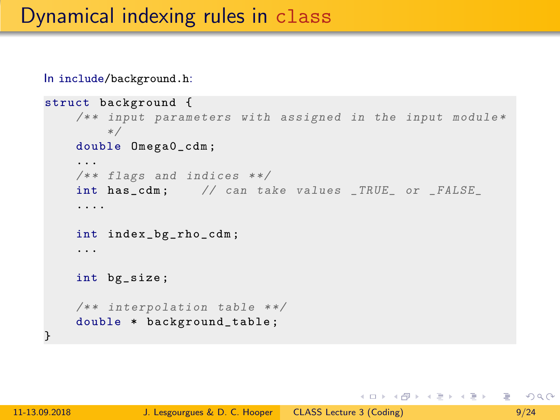In include/background.h:

```
struct background {
    /** input parameters with assigned in the input module*
        */
    double Omega0_cdm ;
    ...
    /** flags and indices **/
    int has_cdm; // can take values _TRUE_ or _FALSE_
    ....
    int index_bg_rho_cdm ;
    ...
    int bg_size ;
    /** interpolation table **/double * background_table ;
}
```
イロト イ何 トイヨ トイヨ トーヨー つなべ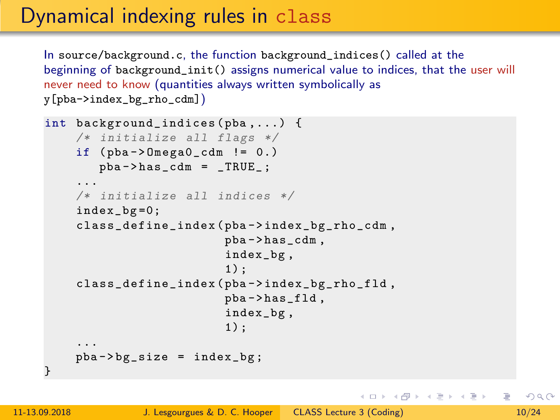# Dynamical indexing rules in class

In source/background.c, the function background\_indices() called at the beginning of background\_init() assigns numerical value to indices, that the user will never need to know (quantities always written symbolically as y[pba->index\_bg\_rho\_cdm])

```
int background_indices ( pba ,...) {
    /* initialize all flags */
    if (pba - \nImesa0_cdm != 0.)
        pba -> has_cdm = _TRUE_;
    ...
    /* initialize all indices */
    index_bg =0;
    class_define_index ( pba -> index_bg_rho_cdm ,
                          pba -> has_cdm ,
                          index_bg ,
                          1) ;
    class_define_index ( pba -> index_bg_rho_fld ,
                          pba -> has_fld ,
                          index_bg ,
                          1) ;
    ...
    pba -> bg\_size = index_bg;
}
```
 $OQ$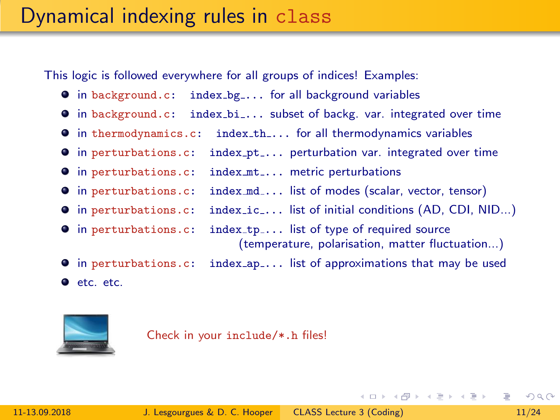This logic is followed everywhere for all groups of indices! Examples:

- $\bullet$  in background.c: index\_bg\_... for all background variables
- in background.c: index bi ... subset of backg. var. integrated over time
- $\bullet$  in thermodynamics.c: index\_th\_... for all thermodynamics variables
- $\bullet$  in perturbations.c: index\_pt\_... perturbation var. integrated over time
- $\bullet$  in perturbations.c: index\_mt\_... metric perturbations
- **•** in perturbations.c: index\_md\_... list of modes (scalar, vector, tensor)
- $\bullet$  in perturbations.c: index\_ic\_... list of initial conditions (AD, CDI, NID...)
- **O** in perturbations.c: index\_tp\_... list of type of required source

(temperature, polarisation, matter fluctuation...)

イロン イ何 メ イヨン イヨン

- **•** in perturbations.c: index\_ap\_... list of approximations that may be used
- etc. etc.



Check in your include/\*.h files!

 $QQ$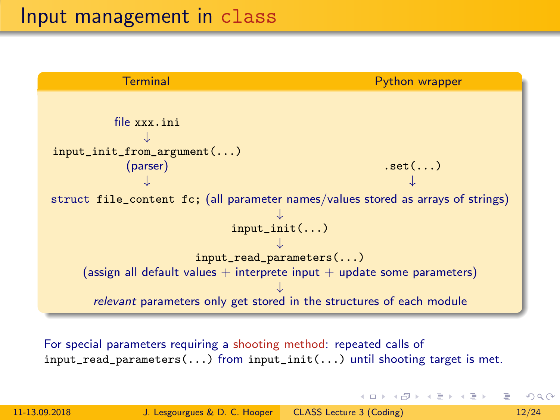

For special parameters requiring a shooting method: repeated calls of input\_read\_parameters(...) from input\_init(...) until shooting target is met.

 $OQ$ 

イロメ イ部メ イモメ イモメー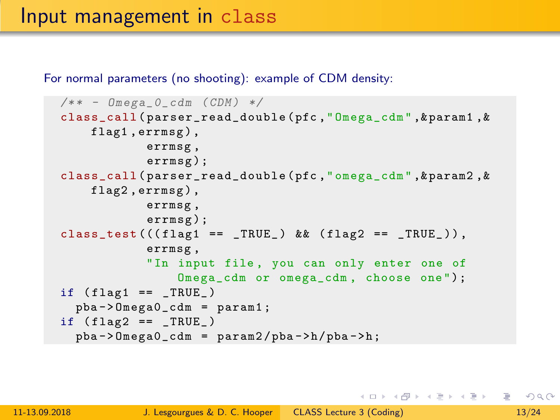For normal parameters (no shooting): example of CDM density:

```
/** - Omega_0_cdm (CDM) */
class_call ( parser_read_double ( pfc ," Omega_cdm " ,& param1 ,&
    flag1, errmsg),
            errmsg ,
            errmsg ) ;
class_call ( parser_read_double ( pfc ," omega_cdm " ,& param2 ,&
    flag2, errmsg),
            errmsg ,
            errmsg ) ;
class_test (((flag1 == _TRUE_) && (flag2 == _TRUE_-)),errmsg ,
            "In input file, you can only enter one of
                 Omega_cdm or omega_cdm , choose one ");
if (flag1 == _TRUE_)
  pba -> Omega0_cdm = param1 ;
if (flag2 == _{TRUE_})pba -> 0mega0_cdm = param2 / pba -> h / pba -> h;
```
K ロ > K 何 > K ミ > K ミ > → ミ → の Q Q →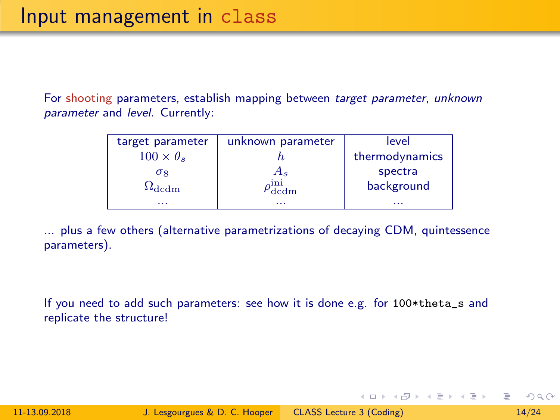For shooting parameters, establish mapping between target parameter, unknown parameter and level. Currently:

| target parameter       | unknown parameter | level          |
|------------------------|-------------------|----------------|
| $100 \times \theta_s$  |                   | thermodynamics |
| $\sigma_8$             | $A_s$             | spectra        |
| $\Omega_{\text{dcdm}}$ | ını<br>dedm       | background     |
| .                      | .                 | .              |

... plus a few others (alternative parametrizations of decaying CDM, quintessence parameters).

If you need to add such parameters: see how it is done e.g. for 100\*theta\_s and replicate the structure!

 $OQ$ 

イロト イ押 トイラト イラト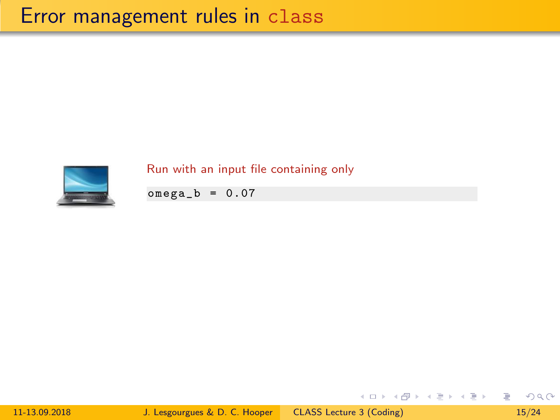

Run with an input file containing only

 $omega_b = 0.07$ 

11-13.09.2018 J. Lesgourgues & D. C. Hooper [CLASS Lecture 3 \(Coding\) 15/24](#page-0-0)

э

イロト イ部 トイモト イモト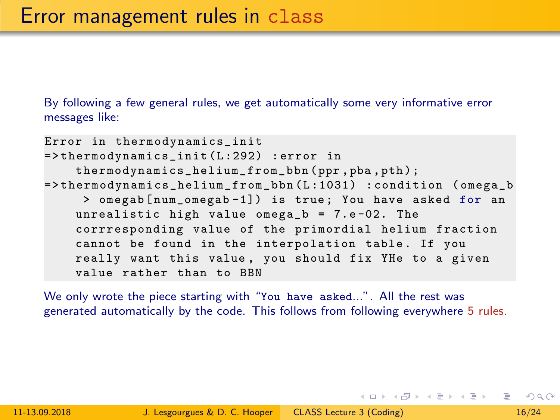By following a few general rules, we get automatically some very informative error messages like:

```
Error in thermodynamics_init
=> thermodynamics_init ( L :292) : error in
    thermodynamics_helium_from_bbn ( ppr , pba , pth ) ;
=> thermodynamics_helium_from_bbn (L :1031) : condition ( omega_b
     > omegab [num_omegab-1]) is true; You have asked for an
    unrealistic high value omega_b = 7.e-02. The
    corrresponding value of the primordial helium fraction
    cannot be found in the interpolation table. If you
    really want this value , you should fix YHe to a given
    value rather than to BBN
```
We only wrote the piece starting with "You have asked...". All the rest was generated automatically by the code. This follows from following everywhere 5 rules.

 $OQ$ 

イロト イ押ト イヨト イヨト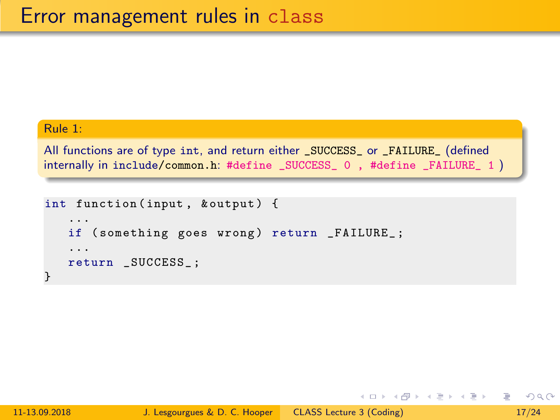# Rule 1:

All functions are of type int, and return either \_SUCCESS\_ or \_FAILURE\_ (defined internally in include/common.h: #define \_SUCCESS\_ 0 , #define \_FAILURE\_ 1 )

```
int function (input, & output) {
   ...
   if (something goes wrong) return _FAILURE_;
   ...
   return _SUCCESS_ ;
}
```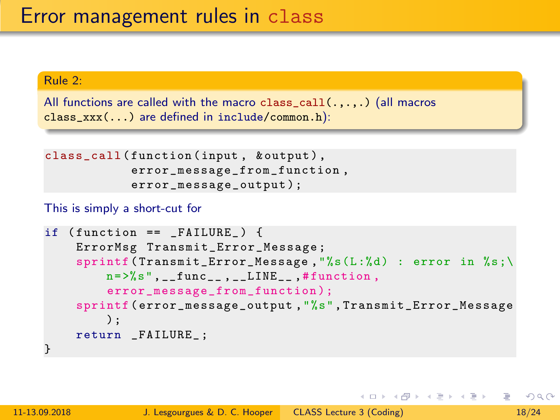# Rule 2:

```
All functions are called with the macro class_call(.,.,.) (all macros
class_xxx(...) are defined in include/common.h):
```

```
class_call (function (input, & output),
            error_message_from_function ,
            error_message_output );
```
# This is simply a short-cut for

```
if (function == FAILURE) {
    ErrorMsg Transmit_Error_Message ;
    sprintf ( Transmit_Error_Message ,"%s(L:%d) : error in %s;\
        n = >%s", __func__, __LINE__,#function,
        error_message_from_function );
    sprintf ( error_message_output ,"%s", Transmit_Error_Message
        );
    return FAILURE :
}
```
 $OQ$ GH.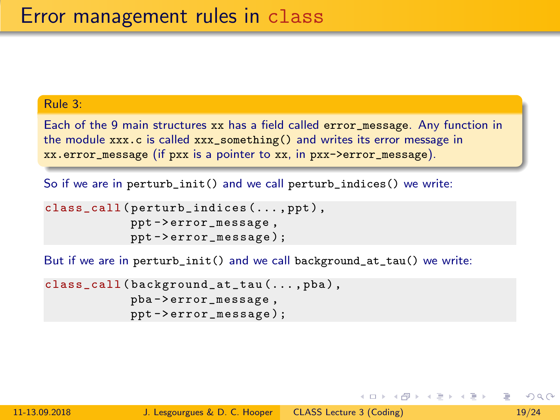# Rule 3:

Each of the 9 main structures xx has a field called error\_message. Any function in the module xxx.c is called xxx\_something() and writes its error message in xx.error\_message (if pxx is a pointer to xx, in pxx->error\_message).

So if we are in perturb\_init() and we call perturb\_indices() we write:

```
class_call ( perturb_indices (..., ppt),
            ppt -> error_message ,
            ppt -> error_message );
```
But if we are in perturb\_init() and we call background\_at\_tau() we write:

```
class_call ( background_at_tau (... , pba ) ,
             pba -> error_message ,
             ppt -> error_message );
```
 $OQ$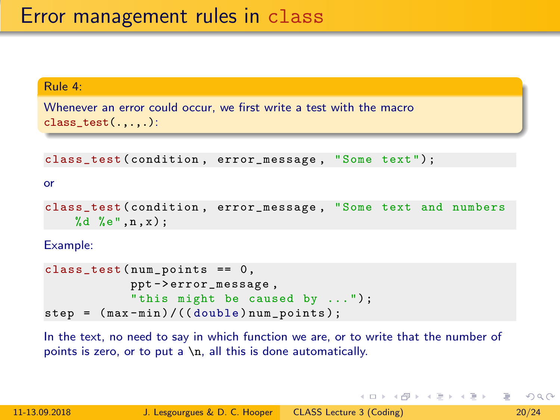# Rule 4:

Whenever an error could occur, we first write a test with the macro class  $test(...,.)$ :

class\_test ( condition , error\_message , " Some text ");

or

```
class_test ( condition , error_message , " Some text and numbers
    %d %e", n, x);
```
Example:

```
class_test(num\_points == 0,ppt -> error_message ,
            " this might be caused by ...");
step = (max-min) / ((double) num\_points);
```
In the text, no need to say in which function we are, or to write that the number of points is zero, or to put a  $\n\lambda$ , all this is done automatically.

 $OQ$ GB 11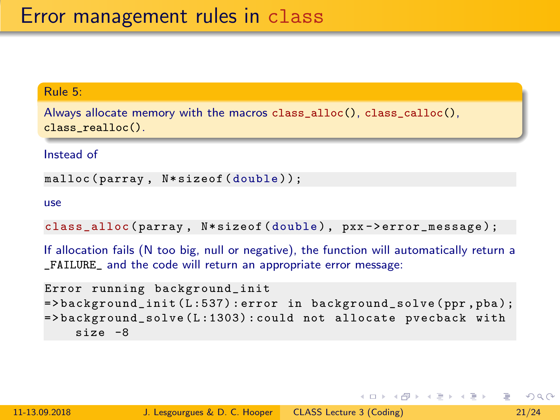# Rule 5:

Always allocate memory with the macros class\_alloc(), class\_calloc(), class\_realloc().

Instead of

```
malloc (parray, N*sizeof (double));
```
use

```
class_alloc(parray, N*sizeof(double), pxx->error_message);
```
If allocation fails (N too big, null or negative), the function will automatically return a \_FAILURE\_ and the code will return an appropriate error message:

```
Error running background_init
=> background_init (L :537) : error in background_solve ( ppr , pba );
=> background_solve (L :1303) : could not allocate pvecback with
    size -8
```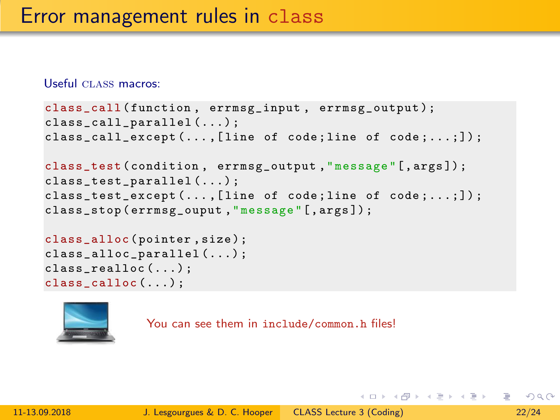#### Useful CLASS macros:

```
class_call (function, errmsg_input, errmsg_output);
class_call_parallel (...) ;
class_call_except (... ,[ line of code ; line of code ;...;]) ;
class_test ( condition , errmsg_output ," message "[, args ]) ;
class_test_parallel (...) ;
class_test_except (..., [line of code; line of code;...;]);
class_stop ( errmsg_ouput ," message "[, args ]) ;
class_alloc ( pointer , size );
```
class\_alloc\_parallel (...) ; class\_realloc (...) ; class\_calloc (...) ;



You can see them in include/common.h files!

 $OQ$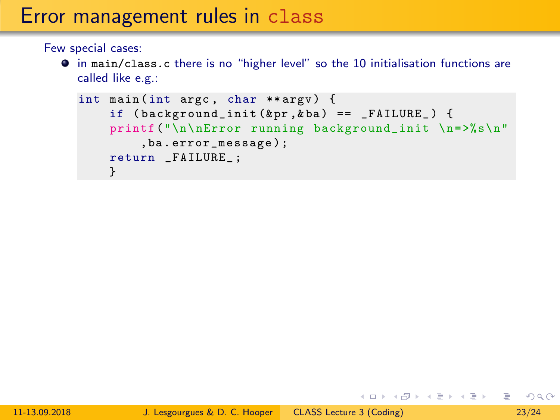# Error management rules in class

Few special cases:

in main/class.c there is no "higher level" so the 10 initialisation functions are called like e.g.:

```
int main (int argc, char ** argv) {
    if (background\_init(kpr,kba) == FAILURE_) {
    printf ("\n\nError running background_init \n=>%s\n"
        ,ba . error_message );
    return _FAILURE_ ;
    }
```
イロト イ何 トイヨ トイヨ トーヨー つなべ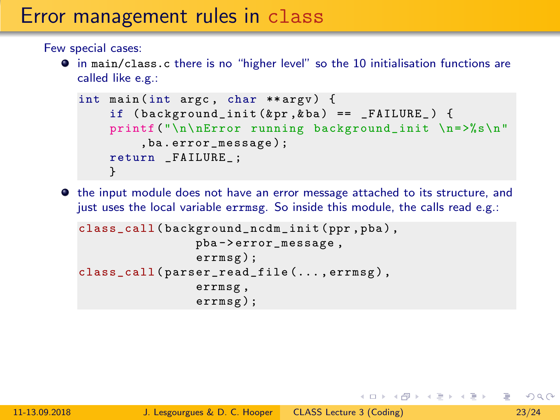# Error management rules in class

Few special cases:

in main/class.c there is no "higher level" so the 10 initialisation functions are called like e.g.:

```
int main (int argc, char ** argv) {
    if (background\_init(kpr,kba) == FAILURE_) {
    printf ("\n\nError running background_init \n=>%s\n"
        ,ba . error_message );
    return _FAILURE_ ;
    }
```
 $\bullet$  the input module does not have an error message attached to its structure, and just uses the local variable errmsg. So inside this module, the calls read e.g.:

```
class_call ( background_ncdm_init ( ppr , pba ) ,
                  pba -> error_message ,
                  errmsg ) ;
class_call ( parser_read_file (... , errmsg ) ,
                  errmsg ,
                  errmsg ) ;
```
イロメ イ部メ イ君メ イ君メー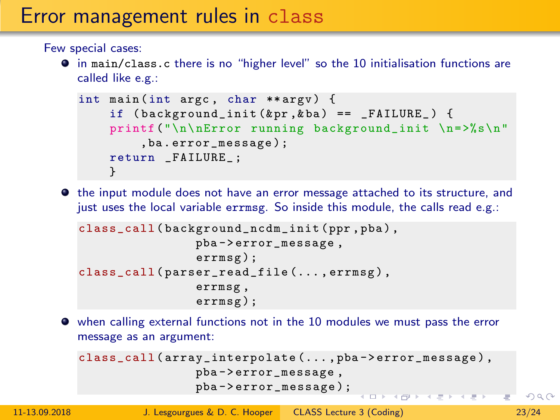# Error management rules in class

Few special cases:

in main/class.c there is no "higher level" so the 10 initialisation functions are called like e.g.:

```
int main (int argc, char ** argv) {
    if (background\_init(kpr,kba) == FAILURE_) {
    printf ("\n\nError running background_init \n=>%s\n"
        ,ba . error_message );
    return _FAILURE_ ;
    }
```
 $\bullet$  the input module does not have an error message attached to its structure, and just uses the local variable errmsg. So inside this module, the calls read e.g.:

```
class_call ( background_ncdm_init ( ppr , pba ) ,
                  pba -> error_message ,
                  errmsg ) ;
class_call ( parser_read_file (... , errmsg ) ,
                  errmsg ,
                  errmsg ) ;
```
when calling external functions not in the 10 modules we must pass the error message as an argument:

```
class_call ( array_interpolate (... , pba -> error_message ) ,
                 pba -> error_message ,
                 pba -> error_message );
                                          UP RIVER SERVICE
```
 $OQ$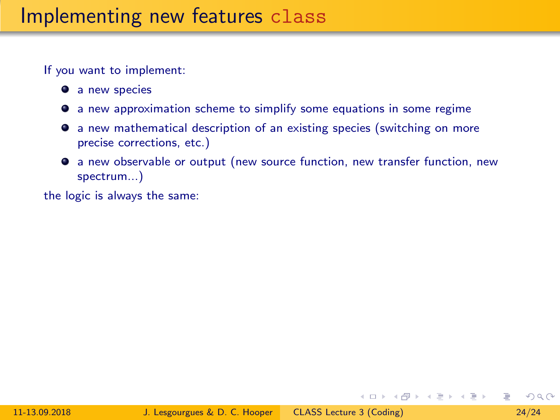- **a** new species
- a new approximation scheme to simplify some equations in some regime
- a new mathematical description of an existing species (switching on more precise corrections, etc.)
- a new observable or output (new source function, new transfer function, new spectrum...)

the logic is always the same:

メロメ メ母メ メミメ メミメ

 $QQ$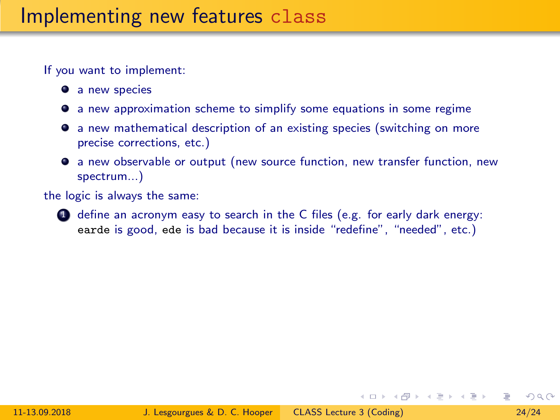- **a** new species
- a new approximation scheme to simplify some equations in some regime
- a new mathematical description of an existing species (switching on more precise corrections, etc.)
- a new observable or output (new source function, new transfer function, new spectrum...)

the logic is always the same:

 $\bullet$  define an acronym easy to search in the C files (e.g. for early dark energy: earde is good, ede is bad because it is inside "redefine", "needed", etc.)

 $\Omega$ 

メロメ メ母メ メミメ メミメ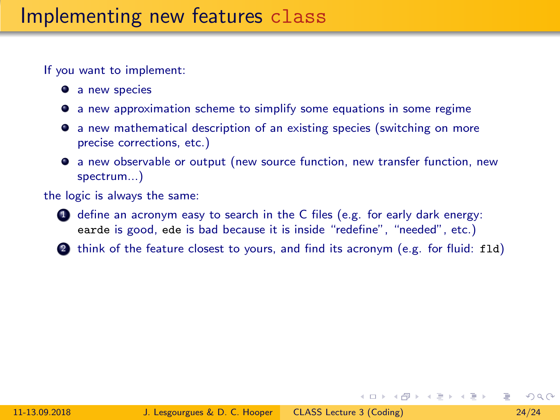- **a** new species
- a new approximation scheme to simplify some equations in some regime
- a new mathematical description of an existing species (switching on more precise corrections, etc.)
- a new observable or output (new source function, new transfer function, new spectrum...)

the logic is always the same:

- $\bullet$  define an acronym easy to search in the C files (e.g. for early dark energy: earde is good, ede is bad because it is inside "redefine", "needed", etc.)
- 2 think of the feature closest to yours, and find its acronym (e.g. for fluid: fld)

 $\Omega$ 

メロメ メ母メ メミメ メミメ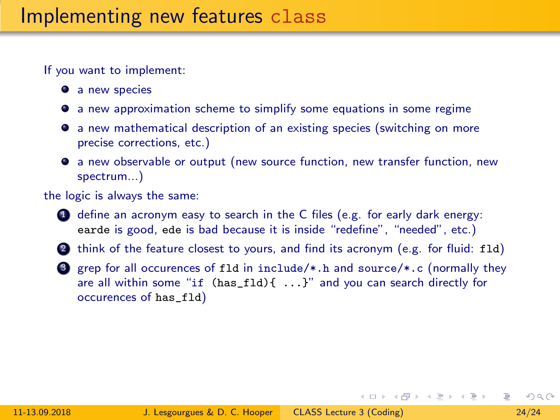- **a** new species
- a new approximation scheme to simplify some equations in some regime
- a new mathematical description of an existing species (switching on more precise corrections, etc.)
- a new observable or output (new source function, new transfer function, new spectrum...)

#### the logic is always the same:

- **4** define an acronym easy to search in the C files (e.g. for early dark energy: earde is good, ede is bad because it is inside "redefine", "needed", etc.)
- 2 think of the feature closest to yours, and find its acronym (e.g. for fluid: fld)
- 3 grep for all occurences of fld in include/\*.h and source/\*.c (normally they are all within some "if  $(has_f1d)$ {  $\dots$ }" and you can search directly for occurences of has\_fld)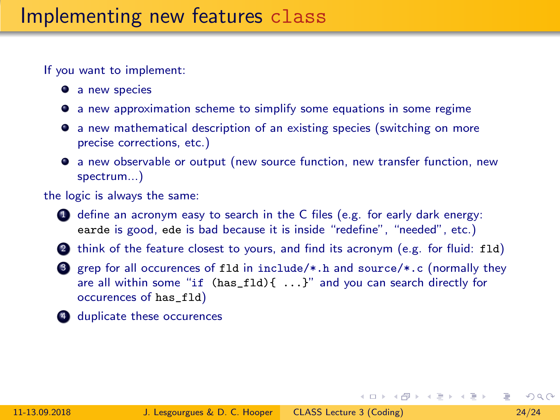- **a** new species
- a new approximation scheme to simplify some equations in some regime
- a new mathematical description of an existing species (switching on more precise corrections, etc.)
- a new observable or output (new source function, new transfer function, new spectrum...)

#### the logic is always the same:

- **4** define an acronym easy to search in the C files (e.g. for early dark energy: earde is good, ede is bad because it is inside "redefine", "needed", etc.)
- 2 think of the feature closest to yours, and find its acronym (e.g. for fluid: fld)
- 3 grep for all occurences of fld in include/\*.h and source/\*.c (normally they are all within some "if  $(has_f1d)$ {  $\dots$ }" and you can search directly for occurences of has\_fld)
- 4 duplicate these occurences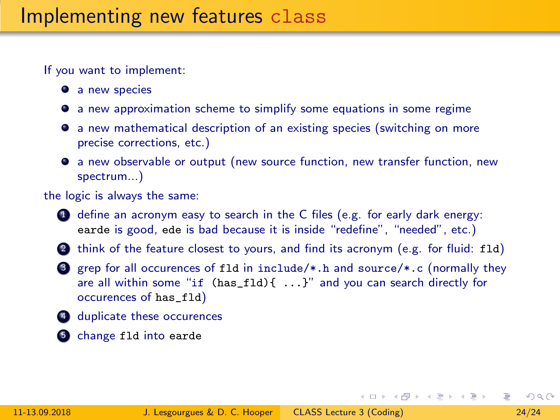- **a** new species
- a new approximation scheme to simplify some equations in some regime
- a new mathematical description of an existing species (switching on more precise corrections, etc.)
- a new observable or output (new source function, new transfer function, new spectrum...)

#### the logic is always the same:

- **4** define an acronym easy to search in the C files (e.g. for early dark energy: earde is good, ede is bad because it is inside "redefine", "needed", etc.)
- 2 think of the feature closest to yours, and find its acronym (e.g. for fluid: fld)
- 3 grep for all occurences of fld in include/\*.h and source/\*.c (normally they are all within some "if  $(has_f1d)$ {  $\dots$ }" and you can search directly for occurences of has\_fld)
- 4 duplicate these occurences
- **5** change fld into earde

 $\mathcal{A} \subseteq \mathcal{A} \text{ and } \mathcal{A} \subseteq \mathcal{A} \text{ and } \mathcal{A} \subseteq \mathcal{A} \text{ and } \mathcal{A} \subseteq \mathcal{A}$